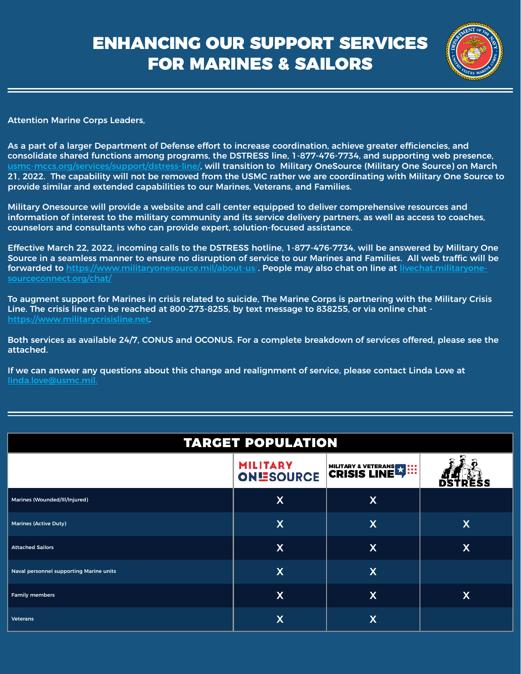## ENHANCING OUR SUPPORT SERVICES FOR MARINES & SAILORS



Attention Marine Corps Leaders,

As a part of a larger Department of Defense effort to increase coordination, achieve greater efficiencies, and consolidate shared functions among programs, the DSTRESS line, 1-877-476-7734, and supporting web presence, [usmc-mccs.org/services/support/dstress-line/](https://www.usmc-mccs.org/services/support/dstress-line/), will transition to Military OneSource (Military One Source) on March 21, 2022. The capability will not be removed from the USMC rather we are coordinating with Military One Source to provide similar and extended capabilities to our Marines, Veterans, and Families.

Military Onesource will provide a website and call center equipped to deliver comprehensive resources and information of interest to the military community and its service delivery partners, as well as access to coaches, counselors and consultants who can provide expert, solution-focused assistance.

Effective March 22, 2022, incoming calls to the DSTRESS hotline, 1-877-476-7734, will be answered by Military One Source in a seamless manner to ensure no disruption of service to our Marines and Families. All web traffic will be forwarded to <https://www.militaryonesource.mil/about-us/>. People may also chat on line at [livechat.militaryone](https://livechat.militaryonesourceconnect.org/chat/. )[sourceconnect.org/chat/.](https://livechat.militaryonesourceconnect.org/chat/. )

To augment support for Marines in crisis related to suicide, The Marine Corps is partnering with the Military Crisis Line. The crisis line can be reached at 800-273-8255, by text message to 838255, or via online chat <https://www.militarycrisisline.net>.

Both services as available 24/7, CONUS and OCONUS. For a complete breakdown of services offered, please see the attached.

If we can answer any questions about this change and realignment of service, please contact Linda Love at [linda.love@usmc.mil.](mailto:linda.love%40usmc.mil.?subject=)

| <b>TARGET POPULATION</b>                |                                     |                                    |                           |
|-----------------------------------------|-------------------------------------|------------------------------------|---------------------------|
|                                         | <b>MILITARY</b><br><b>ONESOURCE</b> | MILITARY & VETERANS<br>CRISIS LINE |                           |
| Marines (Wounded/Ill/Injured)           | X                                   | X                                  |                           |
| <b>Marines (Active Duty)</b>            | X                                   | $\boldsymbol{\mathsf{X}}$          | X                         |
| <b>Attached Sailors</b>                 | X                                   | $\boldsymbol{\mathsf{X}}$          | $\boldsymbol{\mathsf{X}}$ |
| Naval personnel supporting Marine units | X                                   | $\boldsymbol{\mathsf{X}}$          |                           |
| <b>Family members</b>                   | $\overline{\mathsf{X}}$             | $\boldsymbol{\mathsf{X}}$          | $\boldsymbol{\mathsf{X}}$ |
| Veterans                                | $\overline{\mathsf{X}}$             | X                                  |                           |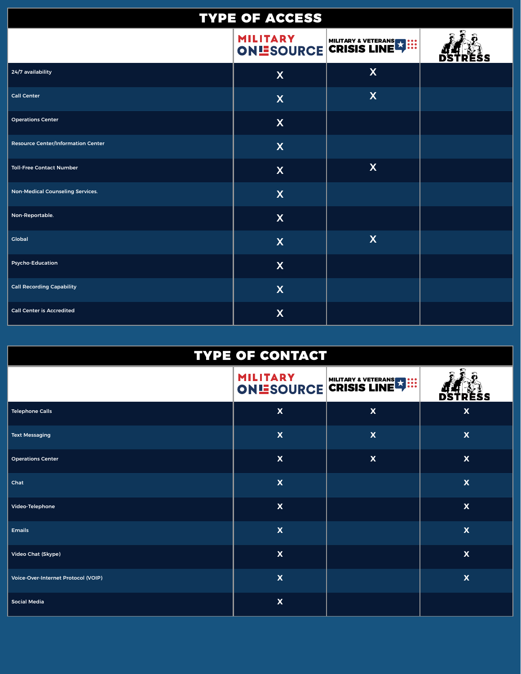| <b>TYPE OF ACCESS</b>                     |                           |                                  |  |
|-------------------------------------------|---------------------------|----------------------------------|--|
|                                           |                           | <b>CONE SOURCE CRISIS LINE 4</b> |  |
| 24/7 availability                         | $\boldsymbol{\mathsf{X}}$ | $\boldsymbol{\mathsf{X}}$        |  |
| <b>Call Center</b>                        | $\boldsymbol{\mathsf{X}}$ | $\boldsymbol{\mathsf{X}}$        |  |
| <b>Operations Center</b>                  | $\mathsf{X}$              |                                  |  |
| <b>Resource Center/Information Center</b> | $\boldsymbol{\mathsf{X}}$ |                                  |  |
| <b>Toll-Free Contact Number</b>           | $\overline{\mathsf{X}}$   | $\boldsymbol{\mathsf{X}}$        |  |
| Non-Medical Counseling Services.          | $\boldsymbol{\mathsf{X}}$ |                                  |  |
| Non-Reportable.                           | $\mathsf{X}$              |                                  |  |
| <b>Global</b>                             | $\boldsymbol{\mathsf{X}}$ | $\boldsymbol{\mathsf{X}}$        |  |
| Psycho-Education                          | $\boldsymbol{\mathsf{X}}$ |                                  |  |
| <b>Call Recording Capability</b>          | $\boldsymbol{X}$          |                                  |  |
| <b>Call Center is Accredited</b>          | $\boldsymbol{\mathsf{X}}$ |                                  |  |

| <b>TYPE OF CONTACT</b>              |                           |                                                  |                           |
|-------------------------------------|---------------------------|--------------------------------------------------|---------------------------|
|                                     |                           | <b>PLILI LART MILITARY &amp; VETERANS ET :::</b> | <b>DSTRESS</b>            |
| <b>Telephone Calls</b>              | $\boldsymbol{\mathsf{X}}$ | $\boldsymbol{\mathsf{X}}$                        | $\boldsymbol{\mathsf{X}}$ |
| <b>Text Messaging</b>               | $\boldsymbol{\mathsf{x}}$ | $\boldsymbol{\mathsf{x}}$                        | $\mathbf x$               |
| <b>Operations Center</b>            | $\boldsymbol{\mathsf{x}}$ | $\boldsymbol{\mathsf{X}}$                        | $\mathbf x$               |
| Chat                                | $\boldsymbol{\mathsf{X}}$ |                                                  | $\boldsymbol{\mathsf{X}}$ |
| Video-Telephone                     | $\boldsymbol{\mathsf{x}}$ |                                                  | $\boldsymbol{\mathsf{X}}$ |
| <b>Emails</b>                       | $\boldsymbol{\mathsf{X}}$ |                                                  | $\boldsymbol{\mathsf{X}}$ |
| Video Chat (Skype)                  | $\boldsymbol{\mathsf{x}}$ |                                                  | $\boldsymbol{\mathsf{X}}$ |
| Voice-Over-Internet Protocol (VOIP) | $\boldsymbol{\mathsf{x}}$ |                                                  | $\mathbf x$               |
| <b>Social Media</b>                 | $\boldsymbol{\mathsf{X}}$ |                                                  |                           |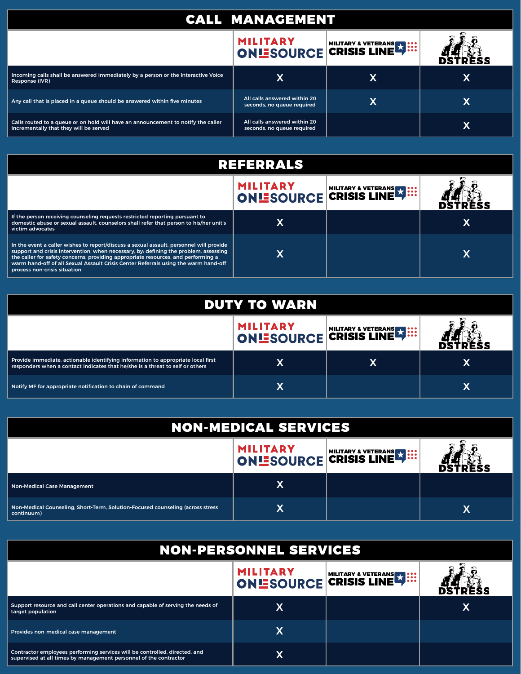| <b>CALL MANAGEMENT</b>                                                                                                      |                                                            |                                                                 |   |  |
|-----------------------------------------------------------------------------------------------------------------------------|------------------------------------------------------------|-----------------------------------------------------------------|---|--|
|                                                                                                                             | <b>MILITARY</b>                                            | IN THE LAR T MUTARY & VETERANS THE MAIL ON LESOURCE CRISIS LINE |   |  |
| Incoming calls shall be answered immediately by a person or the Interactive Voice<br>Response (IVR)                         | Χ                                                          | X                                                               | X |  |
| Any call that is placed in a queue should be answered within five minutes                                                   | All calls answered within 20<br>seconds, no queue required | Χ                                                               | Χ |  |
| Calls routed to a queue or on hold will have an announcement to notify the caller<br>incrementally that they will be served | All calls answered within 20<br>seconds, no queue required |                                                                 | Χ |  |

|  | I 7.A<br>ПK | A I<br>- 7 |
|--|-------------|------------|
|--|-------------|------------|

|                                                                                                                                                                                                                                                                                                                                                                                             | <b>MILITARY</b> | IN THE SOURCE CRISIS LINE THE BASE ON LES SOURCE |  |
|---------------------------------------------------------------------------------------------------------------------------------------------------------------------------------------------------------------------------------------------------------------------------------------------------------------------------------------------------------------------------------------------|-----------------|--------------------------------------------------|--|
| If the person receiving counseling requests restricted reporting pursuant to<br>domestic abuse or sexual assault, counselors shall refer that person to his/her unit's<br>victim advocates                                                                                                                                                                                                  |                 |                                                  |  |
| In the event a caller wishes to report/discuss a sexual assault, personnel will provide<br>support and crisis intervention, when necessary, by: defining the problem, assessing<br>the caller for safety concerns, providing appropriate resources, and performing a<br>warm hand-off of all Sexual Assault Crisis Center Referrals using the warm hand-off<br>process non-crisis situation |                 |                                                  |  |

| <b>DUTY TO WARN</b>                                                                                                                                               |                 |                              |   |
|-------------------------------------------------------------------------------------------------------------------------------------------------------------------|-----------------|------------------------------|---|
|                                                                                                                                                                   | <b>MILITARY</b> | IN THE LIGK TREE CRISIS LINE |   |
| Provide immediate, actionable identifying information to appropriate local first<br>responders when a contact indicates that he/she is a threat to self or others | Χ               |                              | Χ |
| Notify MF for appropriate notification to chain of command                                                                                                        | Χ               |                              |   |

| <b>NON-MEDICAL SERVICES</b>                                                                  |                 |                                              |   |
|----------------------------------------------------------------------------------------------|-----------------|----------------------------------------------|---|
|                                                                                              | <b>MILITARY</b> | IN THE LAND METARY & VETERANS THE MANUSCRIPT |   |
| Non-Medical Case Management                                                                  | Χ               |                                              |   |
| Non-Medical Counseling, Short-Term, Solution-Focused counseling (across stress<br>continuum) | Χ               |                                              | Χ |

|                                                                                                                                                 | <b>MILITARY</b> | IN THE LAR T MILITARY & VETERANS MELTON LESOURCE CRISIS LINE |   |
|-------------------------------------------------------------------------------------------------------------------------------------------------|-----------------|--------------------------------------------------------------|---|
| Support resource and call center operations and capable of serving the needs of<br>target population                                            |                 |                                                              | Χ |
| Provides non-medical case management                                                                                                            | Χ               |                                                              |   |
| Contractor employees performing services will be controlled, directed, and<br>supervised at all times by management personnel of the contractor |                 |                                                              |   |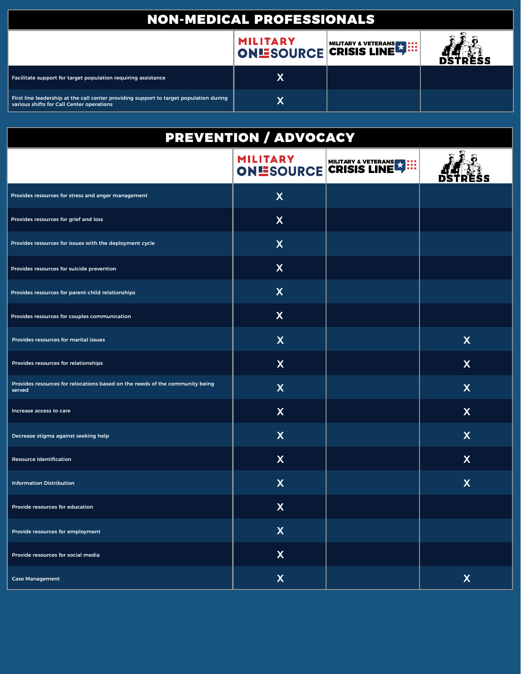## NON-MEDICAL PROFESSIONALS

|                                                                                                                                     | <b>MILITARY</b> | IN THE LIAK Y METARY & VETERANS THE MANUSCRIPT |  |
|-------------------------------------------------------------------------------------------------------------------------------------|-----------------|------------------------------------------------|--|
| Facilitate support for target population requiring assistance                                                                       | Χ               |                                                |  |
| First line leadership at the call center providing support to target population during<br>various shifts for Call Center operations | Χ               |                                                |  |

| PREVENTION / ADVOCACY                                                                  |                           |                                  |                           |  |
|----------------------------------------------------------------------------------------|---------------------------|----------------------------------|---------------------------|--|
|                                                                                        |                           | <b>CONLESOURCE CRISIS LINE 4</b> |                           |  |
| Provides resources for stress and anger management                                     | X                         |                                  |                           |  |
| Provides resources for grief and loss                                                  | $\mathsf{X}$              |                                  |                           |  |
| Provides resources for issues with the deployment cycle                                | $\boldsymbol{\mathsf{X}}$ |                                  |                           |  |
| Provides resources for suicide prevention                                              | $\boldsymbol{\mathsf{X}}$ |                                  |                           |  |
| Provides resources for parent-child relationships                                      | $\boldsymbol{\mathsf{X}}$ |                                  |                           |  |
| Provides resources for couples communication                                           | $\mathsf{X}$              |                                  |                           |  |
| Provides resources for marital issues                                                  | $\boldsymbol{\mathsf{X}}$ |                                  | $\boldsymbol{X}$          |  |
| Provides resources for relationships                                                   | $\boldsymbol{\mathsf{X}}$ |                                  | $\mathsf{X}$              |  |
| Provides resources for relocations based on the needs of the community being<br>served | $\boldsymbol{\mathsf{X}}$ |                                  | $\boldsymbol{\mathsf{X}}$ |  |
| Increase access to care                                                                | $\mathsf{X}$              |                                  | X                         |  |
| Decrease stigma against seeking help                                                   | $\boldsymbol{\mathsf{X}}$ |                                  | $\boldsymbol{\mathsf{X}}$ |  |
| <b>Resource Identification</b>                                                         | $\boldsymbol{X}$          |                                  | $\boldsymbol{\mathsf{X}}$ |  |
| <b>Information Distribution</b>                                                        | $\boldsymbol{\mathsf{X}}$ |                                  | $\boldsymbol{\mathsf{X}}$ |  |
| Provide resources for education                                                        | $\overline{\mathsf{X}}$   |                                  |                           |  |
| Provide resources for employment                                                       | $\mathsf{X}$              |                                  |                           |  |
| Provide resources for social media                                                     | $\mathsf{X}$              |                                  |                           |  |
| <b>Case Management</b>                                                                 | $\mathsf{X}$              |                                  | $\boldsymbol{\mathsf{X}}$ |  |